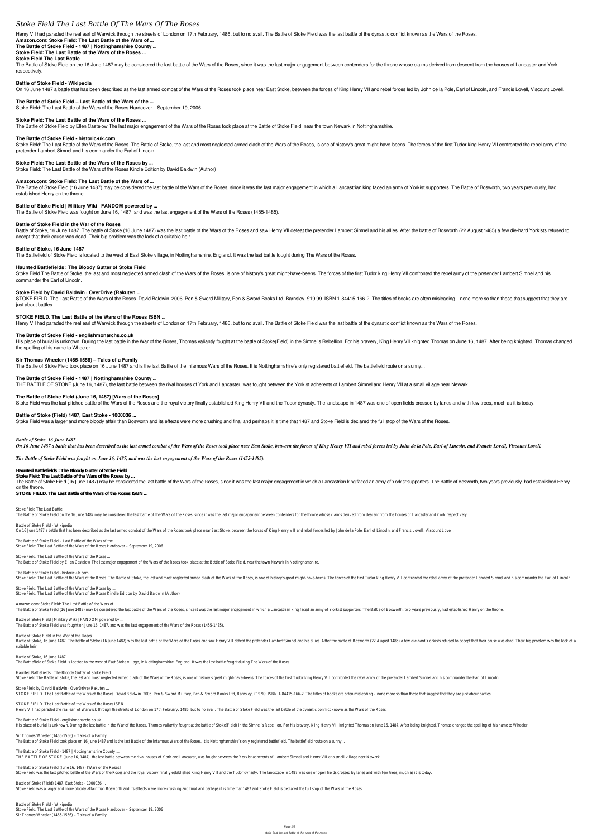# *Stoke Field The Last Battle Of The Wars Of The Roses*

Henry VII had paraded the real earl of Warwick through the streets of London on 17th February, 1486, but to no avail. The Battle of Stoke Field was the last battle of the dynastic conflict known as the Wars of the Roses.

#### **Amazon.com: Stoke Field: The Last Battle of the Wars of ...**

**The Battle of Stoke Field - 1487 | Nottinghamshire County ...**

The Battle of Stoke Field on the 16 June 1487 may be considered the last battle of the Wars of the Wars of the Roses, since it was the last major engagement between contenders for the throne whose claims derived from desce respectively.

## **Stoke Field: The Last Battle of the Wars of the Roses ...**

#### **Stoke Field The Last Battle**

#### **Battle of Stoke Field - Wikipedia**

On 16 June 1487 a battle that has been described as the last armed combat of the Wars of the Roses took place near East Stoke, between the forces of King Henry VII and rebel forces led by John de la Pole, Earl of Lincoln,

Stoke Field: The Last Battle of the Wars of the Roses. The Battle of Stoke, the last and most neglected armed clash of the Wars of the Roses, is one of history's great might-have-beens. The forces of the first Tudor king H pretender Lambert Simnel and his commander the Earl of Lincoln.

## **The Battle of Stoke Field – Last Battle of the Wars of the ...**

Stoke Field: The Last Battle of the Wars of the Roses Hardcover – September 19, 2006

The Battle of Stoke Field (16 June 1487) may be considered the last battle of the Wars of the Roses, since it was the last major engagement in which a Lancastrian king faced an army of Yorkist supporters. The Battle of Bos established Henry on the throne.

#### **Stoke Field: The Last Battle of the Wars of the Roses ...**

The Battle of Stoke Field by Ellen Castelow The last major engagement of the Wars of the Roses took place at the Battle of Stoke Field, near the town Newark in Nottinghamshire.

Battle of Stoke, 16 June 1487. The battle of Stoke (16 June 1487) was the last battle of the Wars of the Roses and saw Henry VII defeat the pretender Lambert Simnel and his allies. After the battle of Bosworth (22 August 1 accept that their cause was dead. Their big problem was the lack of a suitable heir.

#### **The Battle of Stoke Field - historic-uk.com**

Stoke Field The Battle of Stoke, the last and most neglected armed clash of the Wars of the Roses, is one of history's great might-have-beens. The forces of the first Tudor king Henry VII confronted the rebel army of the p commander the Earl of Lincoln.

## **Stoke Field: The Last Battle of the Wars of the Roses by ...**

STOKE FIELD. The Last Battle of the Wars of the Roses. David Baldwin. 2006. Pen & Sword Military, Pen & Sword Books Ltd, Barnsley, £19.99. ISBN 1-84415-166-2. The titles of books are often misleading - none more so than th just about battles.

Stoke Field: The Last Battle of the Wars of the Roses Kindle Edition by David Baldwin (Author)

#### **Amazon.com: Stoke Field: The Last Battle of the Wars of ...**

His place of burial is unknown. During the last battle in the War of the Roses, Thomas valiantly fought at the battle of Stoke(Field) in the Simnel's Rebellion. For his bravery, King Henry VII knighted Thomas on June 16, 1 the spelling of his name to Wheeler.

#### **Battle of Stoke Field | Military Wiki | FANDOM powered by ...**

The Battle of Stoke Field was fought on June 16, 1487, and was the last engagement of the Wars of the Roses (1455-1485).

#### **Battle of Stoke Field in the War of the Roses**

#### **Battle of Stoke, 16 June 1487**

The Battlefield of Stoke Field is located to the west of East Stoke village, in Nottinghamshire, England. It was the last battle fought during The Wars of the Roses.

#### **Haunted Battlefields : The Bloody Gutter of Stoke Field**

Stoke Field The Last Battle The Battle of Stoke Field on the 16 June 1487 may be considered the last battle of the Wars of the Roses, since it was the last major engagement between contenders for the throne whose claims derived from descent from the

Battle of Stoke Field - Wikipedia On 16 June 1487 a battle that has been described as the last armed combat of the Wars of the Roses took place near East Stoke, between the forces of King Henry VII and rebel forces led by John de la Pole, Earl of Lincoln,

#### **Stoke Field by David Baldwin · OverDrive (Rakuten ...**

The Battle of Stoke Field - historic-uk.com Stoke Field: The Last Battle of the Wars of the Roses. The Battle of Stoke, the last and most neglected armed clash of the Wars of the Roses, is one of history's great might-have-beens. The forces of the first Tudor king H

#### **STOKE FIELD. The Last Battle of the Wars of the Roses ISBN ...**

Henry VII had paraded the real earl of Warwick through the streets of London on 17th February, 1486, but to no avail. The Battle of Stoke Field was the last battle of the dynastic conflict known as the Wars of the Roses.

Amazon.com: Stoke Field: The Last Battle of the Wars of ... The Battle of Stoke Field (16 June 1487) may be considered the last battle of the Wars of the Roses, since it was the last major engagement in which a Lancastrian king faced an army of Yorkist supporters. The Battle of Bos

#### **The Battle of Stoke Field - englishmonarchs.co.uk**

Battle of Stoke Field | Military Wiki | FANDOM powered by ... The Battle of Stoke Field was fought on June 16, 1487, and was the last engagement of the Wars of the Roses (1455-1485).

Battle of Stoke, 16 June 1487. The battle of Stoke (16 June 1487) was the last battle of the Wars of the Roses and saw Henry VII defeat the pretender Lambert Simnel and his allies. After the battle of Bosworth (22 August 1 suitable heir.

#### **Sir Thomas Wheeler (1465-1556) – Tales of a Family**

The Battle of Stoke Field took place on 16 June 1487 and is the last Battle of the infamous Wars of the Roses. It is Nottinghamshire's only registered battlefield. The battlefield route on a sunny...

Haunted Battlefields : The Bloody Gutter of Stoke Field Stoke Field The Battle of Stoke, the last and most neglected armed clash of the Wars of the Roses, is one of history's great might-have-beens. The forces of the first Tudor king Henry VII confronted the rebel army of the p

Stoke Field by David Baldwin · OverDrive (Rakuten ... STOKE FIELD. The Last Battle of the Wars of the Roses. David Baldwin. 2006. Pen & Sword Military, Pen & Sword Books Ltd, Barnsley, £19.99. ISBN 1-84415-166-2. The titles of books are often misleading - none more so than th

#### **The Battle of Stoke Field - 1487 | Nottinghamshire County ...**

THE BATTLE OF STOKE (June 16, 1487), the last battle between the rival houses of York and Lancaster, was fought between the Yorkist adherents of Lambert Simnel and Henry VII at a small village near Newark.

## **The Battle of Stoke Field (June 16, 1487) [Wars of the Roses]**

Stoke Field was the last pitched battle of the Wars of the Roses and the royal victory finally established King Henry VII and the Tudor dynasty. The landscape in 1487 was one of open fields crossed by lanes and with few tr

The Battle of Stoke Field - englishmonarchs.co.uk His place of burial is unknown. During the last battle in the War of the Roses, Thomas valiantly fought at the battle of Stoke(Field) in the Simnel's Rebellion. For his bravery, King Henry VII knighted Thomas on June 16, 1

#### **Battle of Stoke (Field) 1487, East Stoke - 1000036 ...**

Stoke Field was a larger and more bloody affair than Bosworth and its effects were more crushing and final and perhaps it is time that 1487 and Stoke Field is declared the full stop of the Wars of the Roses.

The Battle of Stoke Field (June 16, 1487) [Wars of the Roses] Stoke Field was the last pitched battle of the Wars of the Roses and the royal victory finally established King Henry VII and the Tudor dynasty. The landscape in 1487 was one of open fields crossed by lanes and with few tr

*Battle of Stoke, 16 June 1487*

On 16 June 1487 a battle that has been described as the last armed combat of the Wars of the Roses took place near East Stoke, between the forces of King Henry VII and rebel forces led by John de la Pole, Earl of Lincoln,

#### *The Battle of Stoke Field was fought on June 16, 1487, and was the last engagement of the Wars of the Roses (1455-1485).*

**Haunted Battlefields : The Bloody Gutter of Stoke Field**

**Stoke Field: The Last Battle of the Wars of the Roses by ...** The Battle of Stoke Field (16 June 1487) may be considered the last battle of the Wars of the Roses, since it was the last major engagement in which a Lancastrian king faced an army of Yorkist supporters. The Battle of Bos on the throne.

**STOKE FIELD. The Last Battle of the Wars of the Roses ISBN ...**

The Battle of Stoke Field – Last Battle of the Wars of the ... Stoke Field: The Last Battle of the Wars of the Roses Hardcover – September 19, 2006

Stoke Field: The Last Battle of the Wars of the Roses ... The Battle of Stoke Field by Ellen Castelow The last major engagement of the Wars of the Roses took place at the Battle of Stoke Field, near the town Newark in Nottinghamshire.

Stoke Field: The Last Battle of the Wars of the Roses by ... Stoke Field: The Last Battle of the Wars of the Roses Kindle Edition by David Baldwin (Author)

#### Battle of Stoke Field in the War of the Roses

Battle of Stoke, 16 June 1487 The Battlefield of Stoke Field is located to the west of East Stoke village, in Nottinghamshire, England. It was the last battle fought during The Wars of the Roses.

STOKE FIELD. The Last Battle of the Wars of the Roses ISBN ... Henry VII had paraded the real earl of Warwick through the streets of London on 17th February, 1486, but to no avail. The Battle of Stoke Field was the last battle of the dynastic conflict known as the Wars of the Roses.

Sir Thomas Wheeler (1465-1556) – Tales of a Family The Battle of Stoke Field took place on 16 June 1487 and is the last Battle of the infamous Wars of the Roses. It is Nottinghamshire's only registered battlefield. The battlefield route on a sunny...

The Battle of Stoke Field - 1487 | Nottinghamshire County ... THE BATTLE OF STOKE (June 16, 1487), the last battle between the rival houses of York and Lancaster, was fought between the Yorkist adherents of Lambert Simnel and Henry VII at a small village near Newark.

Battle of Stoke (Field) 1487, East Stoke - 1000036 ... Stoke Field was a larger and more bloody affair than Bosworth and its effects were more crushing and final and perhaps it is time that 1487 and Stoke Field is declared the full stop of the Wars of the Roses.

Battle of Stoke Field - Wikipedia Stoke Field: The Last Battle of the Wars of the Roses Hardcover – September 19, 2006 Sir Thomas Wheeler (1465-1556) – Tales of a Family